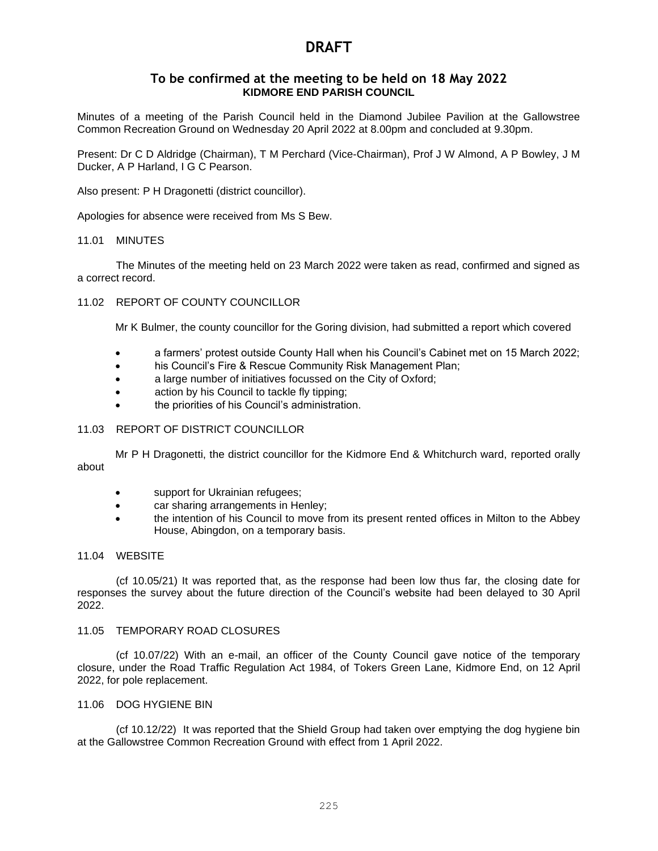### **To be confirmed at the meeting to be held on 18 May 2022 KIDMORE END PARISH COUNCIL**

Minutes of a meeting of the Parish Council held in the Diamond Jubilee Pavilion at the Gallowstree Common Recreation Ground on Wednesday 20 April 2022 at 8.00pm and concluded at 9.30pm.

Present: Dr C D Aldridge (Chairman), T M Perchard (Vice-Chairman), Prof J W Almond, A P Bowley, J M Ducker, A P Harland, I G C Pearson.

Also present: P H Dragonetti (district councillor).

Apologies for absence were received from Ms S Bew.

#### 11.01 MINUTES

The Minutes of the meeting held on 23 March 2022 were taken as read, confirmed and signed as a correct record.

#### 11.02 REPORT OF COUNTY COUNCILLOR

Mr K Bulmer, the county councillor for the Goring division, had submitted a report which covered

- a farmers' protest outside County Hall when his Council's Cabinet met on 15 March 2022;
- his Council's Fire & Rescue Community Risk Management Plan;
- a large number of initiatives focussed on the City of Oxford;
- action by his Council to tackle fly tipping:
- the priorities of his Council's administration.

#### 11.03 REPORT OF DISTRICT COUNCILLOR

Mr P H Dragonetti, the district councillor for the Kidmore End & Whitchurch ward, reported orally about

- support for Ukrainian refugees;
- car sharing arrangements in Henley;
- the intention of his Council to move from its present rented offices in Milton to the Abbey House, Abingdon, on a temporary basis.

#### 11.04 WEBSITE

(cf 10.05/21) It was reported that, as the response had been low thus far, the closing date for responses the survey about the future direction of the Council's website had been delayed to 30 April 2022.

#### 11.05 TEMPORARY ROAD CLOSURES

(cf 10.07/22) With an e-mail, an officer of the County Council gave notice of the temporary closure, under the Road Traffic Regulation Act 1984, of Tokers Green Lane, Kidmore End, on 12 April 2022, for pole replacement.

#### 11.06 DOG HYGIENE BIN

(cf 10.12/22) It was reported that the Shield Group had taken over emptying the dog hygiene bin at the Gallowstree Common Recreation Ground with effect from 1 April 2022.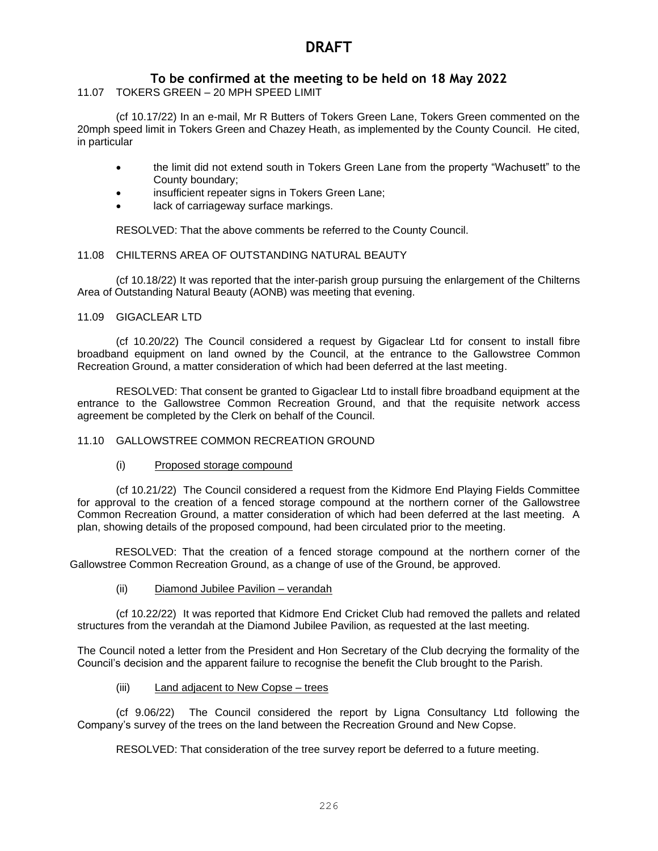## **To be confirmed at the meeting to be held on 18 May 2022**

11.07 TOKERS GREEN – 20 MPH SPEED LIMIT

(cf 10.17/22) In an e-mail, Mr R Butters of Tokers Green Lane, Tokers Green commented on the 20mph speed limit in Tokers Green and Chazey Heath, as implemented by the County Council. He cited, in particular

- the limit did not extend south in Tokers Green Lane from the property "Wachusett" to the County boundary;
- insufficient repeater signs in Tokers Green Lane;
- lack of carriageway surface markings.

RESOLVED: That the above comments be referred to the County Council.

#### 11.08 CHILTERNS AREA OF OUTSTANDING NATURAL BEAUTY

(cf 10.18/22) It was reported that the inter-parish group pursuing the enlargement of the Chilterns Area of Outstanding Natural Beauty (AONB) was meeting that evening.

#### 11.09 GIGACLEAR LTD

(cf 10.20/22) The Council considered a request by Gigaclear Ltd for consent to install fibre broadband equipment on land owned by the Council, at the entrance to the Gallowstree Common Recreation Ground, a matter consideration of which had been deferred at the last meeting.

RESOLVED: That consent be granted to Gigaclear Ltd to install fibre broadband equipment at the entrance to the Gallowstree Common Recreation Ground, and that the requisite network access agreement be completed by the Clerk on behalf of the Council.

#### 11.10 GALLOWSTREE COMMON RECREATION GROUND

#### (i) Proposed storage compound

(cf 10.21/22) The Council considered a request from the Kidmore End Playing Fields Committee for approval to the creation of a fenced storage compound at the northern corner of the Gallowstree Common Recreation Ground, a matter consideration of which had been deferred at the last meeting. A plan, showing details of the proposed compound, had been circulated prior to the meeting.

RESOLVED: That the creation of a fenced storage compound at the northern corner of the Gallowstree Common Recreation Ground, as a change of use of the Ground, be approved.

#### (ii) Diamond Jubilee Pavilion – verandah

(cf 10.22/22) It was reported that Kidmore End Cricket Club had removed the pallets and related structures from the verandah at the Diamond Jubilee Pavilion, as requested at the last meeting.

The Council noted a letter from the President and Hon Secretary of the Club decrying the formality of the Council's decision and the apparent failure to recognise the benefit the Club brought to the Parish.

#### (iii) Land adjacent to New Copse – trees

(cf 9.06/22) The Council considered the report by Ligna Consultancy Ltd following the Company's survey of the trees on the land between the Recreation Ground and New Copse.

RESOLVED: That consideration of the tree survey report be deferred to a future meeting.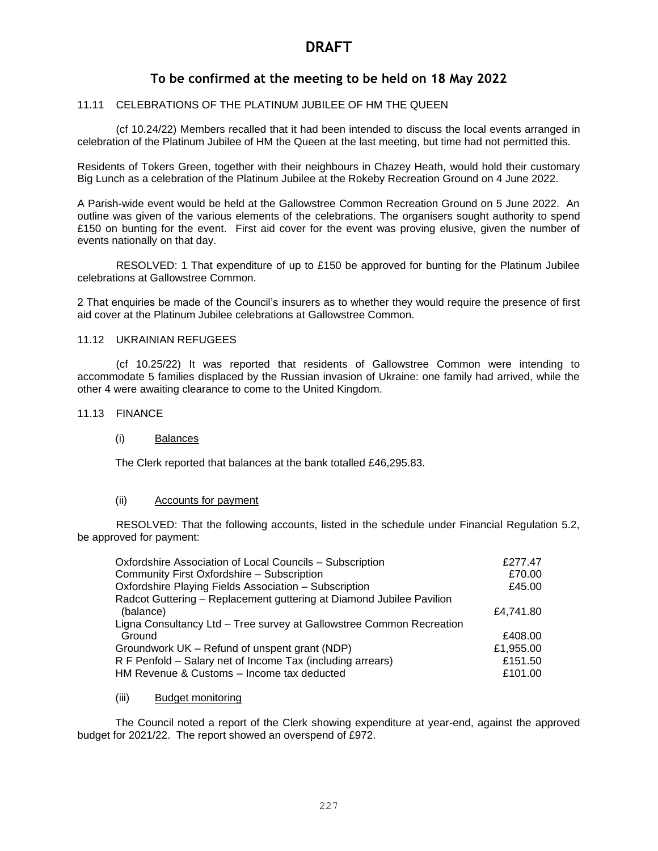## **To be confirmed at the meeting to be held on 18 May 2022**

#### 11.11 CELEBRATIONS OF THE PLATINUM JUBILEE OF HM THE QUEEN

(cf 10.24/22) Members recalled that it had been intended to discuss the local events arranged in celebration of the Platinum Jubilee of HM the Queen at the last meeting, but time had not permitted this.

Residents of Tokers Green, together with their neighbours in Chazey Heath, would hold their customary Big Lunch as a celebration of the Platinum Jubilee at the Rokeby Recreation Ground on 4 June 2022.

A Parish-wide event would be held at the Gallowstree Common Recreation Ground on 5 June 2022. An outline was given of the various elements of the celebrations. The organisers sought authority to spend £150 on bunting for the event. First aid cover for the event was proving elusive, given the number of events nationally on that day.

RESOLVED: 1 That expenditure of up to £150 be approved for bunting for the Platinum Jubilee celebrations at Gallowstree Common.

2 That enquiries be made of the Council's insurers as to whether they would require the presence of first aid cover at the Platinum Jubilee celebrations at Gallowstree Common.

## 11.12 UKRAINIAN REFUGEES

(cf 10.25/22) It was reported that residents of Gallowstree Common were intending to accommodate 5 families displaced by the Russian invasion of Ukraine: one family had arrived, while the other 4 were awaiting clearance to come to the United Kingdom.

#### 11.13 FINANCE

#### (i) Balances

The Clerk reported that balances at the bank totalled £46,295.83.

#### (ii) Accounts for payment

RESOLVED: That the following accounts, listed in the schedule under Financial Regulation 5.2, be approved for payment:

| Oxfordshire Association of Local Councils - Subscription             | £277.47   |
|----------------------------------------------------------------------|-----------|
| Community First Oxfordshire - Subscription                           | £70.00    |
| Oxfordshire Playing Fields Association - Subscription                | £45.00    |
| Radcot Guttering - Replacement guttering at Diamond Jubilee Pavilion |           |
| (balance)                                                            | £4,741.80 |
| Ligna Consultancy Ltd - Tree survey at Gallowstree Common Recreation |           |
| Ground                                                               | £408.00   |
| Groundwork UK – Refund of unspent grant (NDP)                        | £1,955.00 |
| R F Penfold – Salary net of Income Tax (including arrears)           | £151.50   |
| HM Revenue & Customs - Income tax deducted                           | £101.00   |

#### (iii) Budget monitoring

The Council noted a report of the Clerk showing expenditure at year-end, against the approved budget for 2021/22. The report showed an overspend of £972.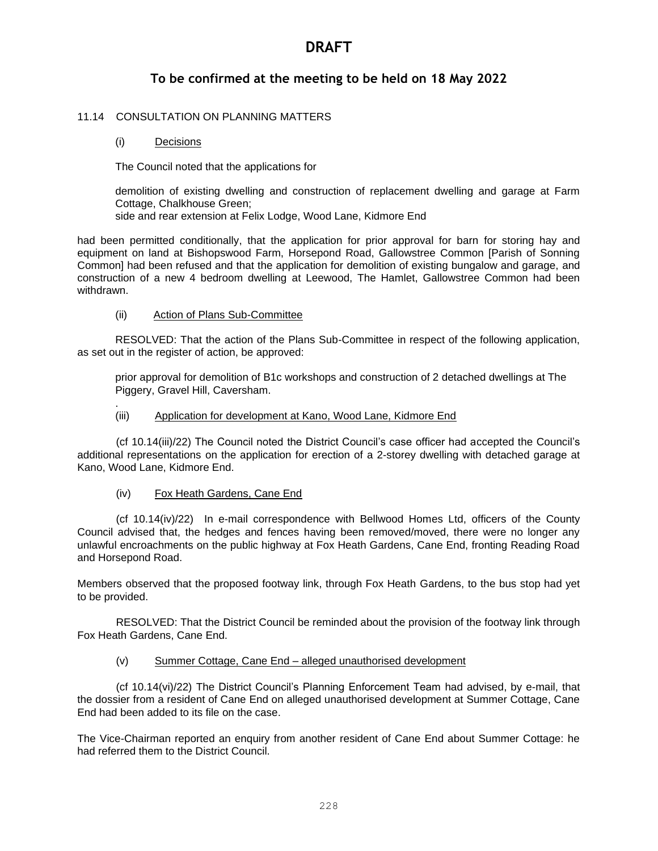## **To be confirmed at the meeting to be held on 18 May 2022**

### 11.14 CONSULTATION ON PLANNING MATTERS

#### (i) Decisions

.

The Council noted that the applications for

demolition of existing dwelling and construction of replacement dwelling and garage at Farm Cottage, Chalkhouse Green;

side and rear extension at Felix Lodge, Wood Lane, Kidmore End

had been permitted conditionally, that the application for prior approval for barn for storing hay and equipment on land at Bishopswood Farm, Horsepond Road, Gallowstree Common [Parish of Sonning Common] had been refused and that the application for demolition of existing bungalow and garage, and construction of a new 4 bedroom dwelling at Leewood, The Hamlet, Gallowstree Common had been withdrawn.

#### (ii) Action of Plans Sub-Committee

RESOLVED: That the action of the Plans Sub-Committee in respect of the following application, as set out in the register of action, be approved:

prior approval for demolition of B1c workshops and construction of 2 detached dwellings at The Piggery, Gravel Hill, Caversham.

#### (iii) Application for development at Kano, Wood Lane, Kidmore End

(cf 10.14(iii)/22) The Council noted the District Council's case officer had accepted the Council's additional representations on the application for erection of a 2-storey dwelling with detached garage at Kano, Wood Lane, Kidmore End.

### (iv) Fox Heath Gardens, Cane End

(cf 10.14(iv)/22) In e-mail correspondence with Bellwood Homes Ltd, officers of the County Council advised that, the hedges and fences having been removed/moved, there were no longer any unlawful encroachments on the public highway at Fox Heath Gardens, Cane End, fronting Reading Road and Horsepond Road.

Members observed that the proposed footway link, through Fox Heath Gardens, to the bus stop had yet to be provided.

RESOLVED: That the District Council be reminded about the provision of the footway link through Fox Heath Gardens, Cane End.

#### (v) Summer Cottage, Cane End – alleged unauthorised development

(cf 10.14(vi)/22) The District Council's Planning Enforcement Team had advised, by e-mail, that the dossier from a resident of Cane End on alleged unauthorised development at Summer Cottage, Cane End had been added to its file on the case.

The Vice-Chairman reported an enquiry from another resident of Cane End about Summer Cottage: he had referred them to the District Council.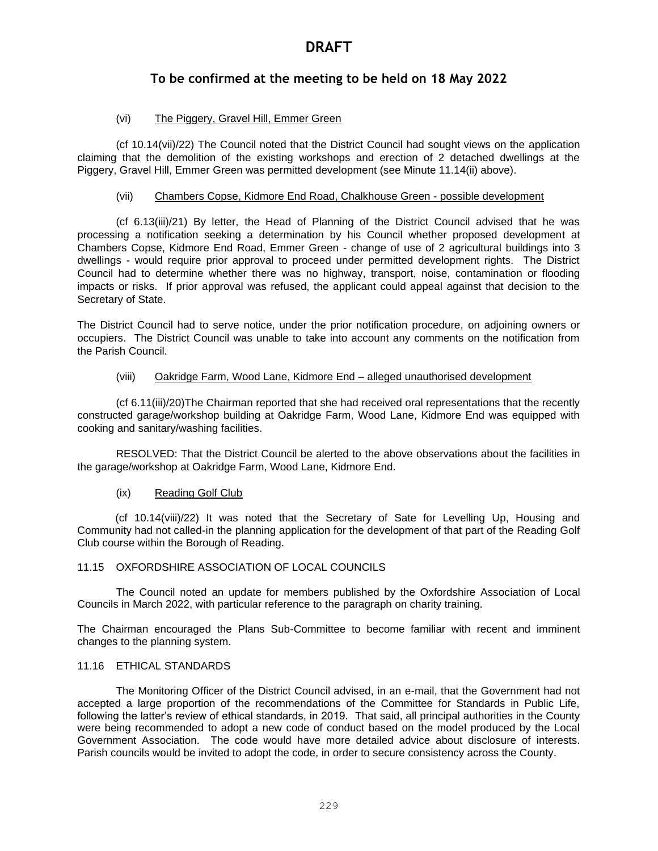## **To be confirmed at the meeting to be held on 18 May 2022**

## (vi) The Piggery, Gravel Hill, Emmer Green

(cf 10.14(vii)/22) The Council noted that the District Council had sought views on the application claiming that the demolition of the existing workshops and erection of 2 detached dwellings at the Piggery, Gravel Hill, Emmer Green was permitted development (see Minute 11.14(ii) above).

### (vii) Chambers Copse, Kidmore End Road, Chalkhouse Green - possible development

(cf 6.13(iii)/21) By letter, the Head of Planning of the District Council advised that he was processing a notification seeking a determination by his Council whether proposed development at Chambers Copse, Kidmore End Road, Emmer Green - change of use of 2 agricultural buildings into 3 dwellings - would require prior approval to proceed under permitted development rights. The District Council had to determine whether there was no highway, transport, noise, contamination or flooding impacts or risks. If prior approval was refused, the applicant could appeal against that decision to the Secretary of State.

The District Council had to serve notice, under the prior notification procedure, on adjoining owners or occupiers. The District Council was unable to take into account any comments on the notification from the Parish Council.

#### (viii) Oakridge Farm, Wood Lane, Kidmore End – alleged unauthorised development

(cf 6.11(iii)/20)The Chairman reported that she had received oral representations that the recently constructed garage/workshop building at Oakridge Farm, Wood Lane, Kidmore End was equipped with cooking and sanitary/washing facilities.

RESOLVED: That the District Council be alerted to the above observations about the facilities in the garage/workshop at Oakridge Farm, Wood Lane, Kidmore End.

### (ix) Reading Golf Club

(cf 10.14(viii)/22) It was noted that the Secretary of Sate for Levelling Up, Housing and Community had not called-in the planning application for the development of that part of the Reading Golf Club course within the Borough of Reading.

## 11.15 OXFORDSHIRE ASSOCIATION OF LOCAL COUNCILS

The Council noted an update for members published by the Oxfordshire Association of Local Councils in March 2022, with particular reference to the paragraph on charity training.

The Chairman encouraged the Plans Sub-Committee to become familiar with recent and imminent changes to the planning system.

#### 11.16 ETHICAL STANDARDS

The Monitoring Officer of the District Council advised, in an e-mail, that the Government had not accepted a large proportion of the recommendations of the Committee for Standards in Public Life, following the latter's review of ethical standards, in 2019. That said, all principal authorities in the County were being recommended to adopt a new code of conduct based on the model produced by the Local Government Association. The code would have more detailed advice about disclosure of interests. Parish councils would be invited to adopt the code, in order to secure consistency across the County.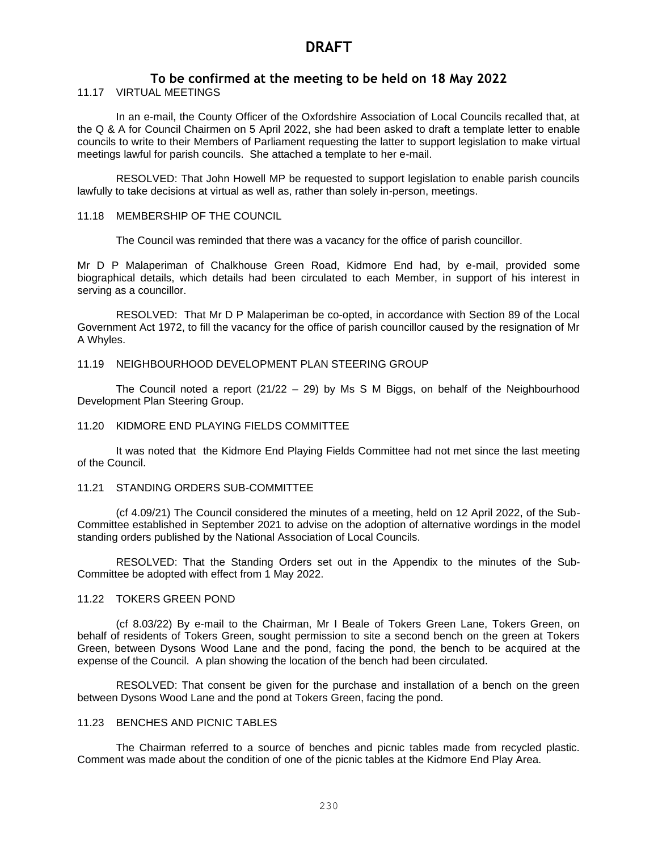## **To be confirmed at the meeting to be held on 18 May 2022**

11.17 VIRTUAL MEETINGS

In an e-mail, the County Officer of the Oxfordshire Association of Local Councils recalled that, at the Q & A for Council Chairmen on 5 April 2022, she had been asked to draft a template letter to enable councils to write to their Members of Parliament requesting the latter to support legislation to make virtual meetings lawful for parish councils. She attached a template to her e-mail.

RESOLVED: That John Howell MP be requested to support legislation to enable parish councils lawfully to take decisions at virtual as well as, rather than solely in-person, meetings.

#### 11.18 MEMBERSHIP OF THE COUNCIL

The Council was reminded that there was a vacancy for the office of parish councillor.

Mr D P Malaperiman of Chalkhouse Green Road, Kidmore End had, by e-mail, provided some biographical details, which details had been circulated to each Member, in support of his interest in serving as a councillor.

RESOLVED: That Mr D P Malaperiman be co-opted, in accordance with Section 89 of the Local Government Act 1972, to fill the vacancy for the office of parish councillor caused by the resignation of Mr A Whyles.

#### 11.19 NEIGHBOURHOOD DEVELOPMENT PLAN STEERING GROUP

The Council noted a report  $(21/22 - 29)$  by Ms S M Biggs, on behalf of the Neighbourhood Development Plan Steering Group.

#### 11.20 KIDMORE END PLAYING FIELDS COMMITTEE

It was noted that the Kidmore End Playing Fields Committee had not met since the last meeting of the Council.

#### 11.21 STANDING ORDERS SUB-COMMITTEE

(cf 4.09/21) The Council considered the minutes of a meeting, held on 12 April 2022, of the Sub-Committee established in September 2021 to advise on the adoption of alternative wordings in the model standing orders published by the National Association of Local Councils.

RESOLVED: That the Standing Orders set out in the Appendix to the minutes of the Sub-Committee be adopted with effect from 1 May 2022.

#### 11.22 TOKERS GREEN POND

(cf 8.03/22) By e-mail to the Chairman, Mr I Beale of Tokers Green Lane, Tokers Green, on behalf of residents of Tokers Green, sought permission to site a second bench on the green at Tokers Green, between Dysons Wood Lane and the pond, facing the pond, the bench to be acquired at the expense of the Council. A plan showing the location of the bench had been circulated.

RESOLVED: That consent be given for the purchase and installation of a bench on the green between Dysons Wood Lane and the pond at Tokers Green, facing the pond.

#### 11.23 BENCHES AND PICNIC TABLES

The Chairman referred to a source of benches and picnic tables made from recycled plastic. Comment was made about the condition of one of the picnic tables at the Kidmore End Play Area.